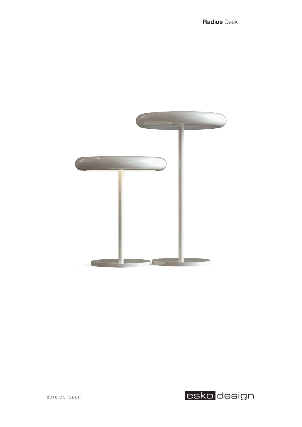